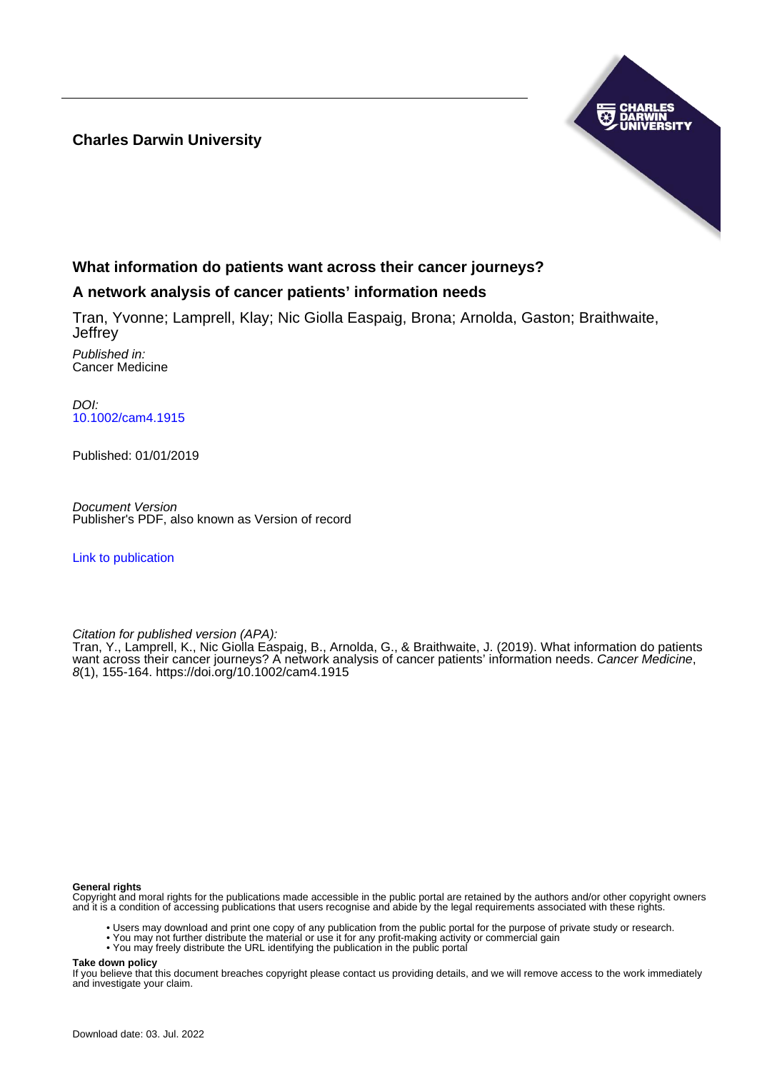# **Charles Darwin University**



# **What information do patients want across their cancer journeys?**

# **A network analysis of cancer patients' information needs**

Tran, Yvonne; Lamprell, Klay; Nic Giolla Easpaig, Brona; Arnolda, Gaston; Braithwaite, **Jeffrey** Published in:

Cancer Medicine

DOI: [10.1002/cam4.1915](https://doi.org/10.1002/cam4.1915)

Published: 01/01/2019

Document Version Publisher's PDF, also known as Version of record

[Link to publication](https://researchers.cdu.edu.au/en/publications/335675e1-1871-41e6-aca8-12baa2888be5)

Citation for published version (APA):

Tran, Y., Lamprell, K., Nic Giolla Easpaig, B., Arnolda, G., & Braithwaite, J. (2019). What information do patients want across their cancer journeys? A network analysis of cancer patients' information needs. Cancer Medicine, 8(1), 155-164. <https://doi.org/10.1002/cam4.1915>

#### **General rights**

Copyright and moral rights for the publications made accessible in the public portal are retained by the authors and/or other copyright owners and it is a condition of accessing publications that users recognise and abide by the legal requirements associated with these rights.

- Users may download and print one copy of any publication from the public portal for the purpose of private study or research.
- You may not further distribute the material or use it for any profit-making activity or commercial gain
- You may freely distribute the URL identifying the publication in the public portal

**Take down policy**

If you believe that this document breaches copyright please contact us providing details, and we will remove access to the work immediately and investigate your claim.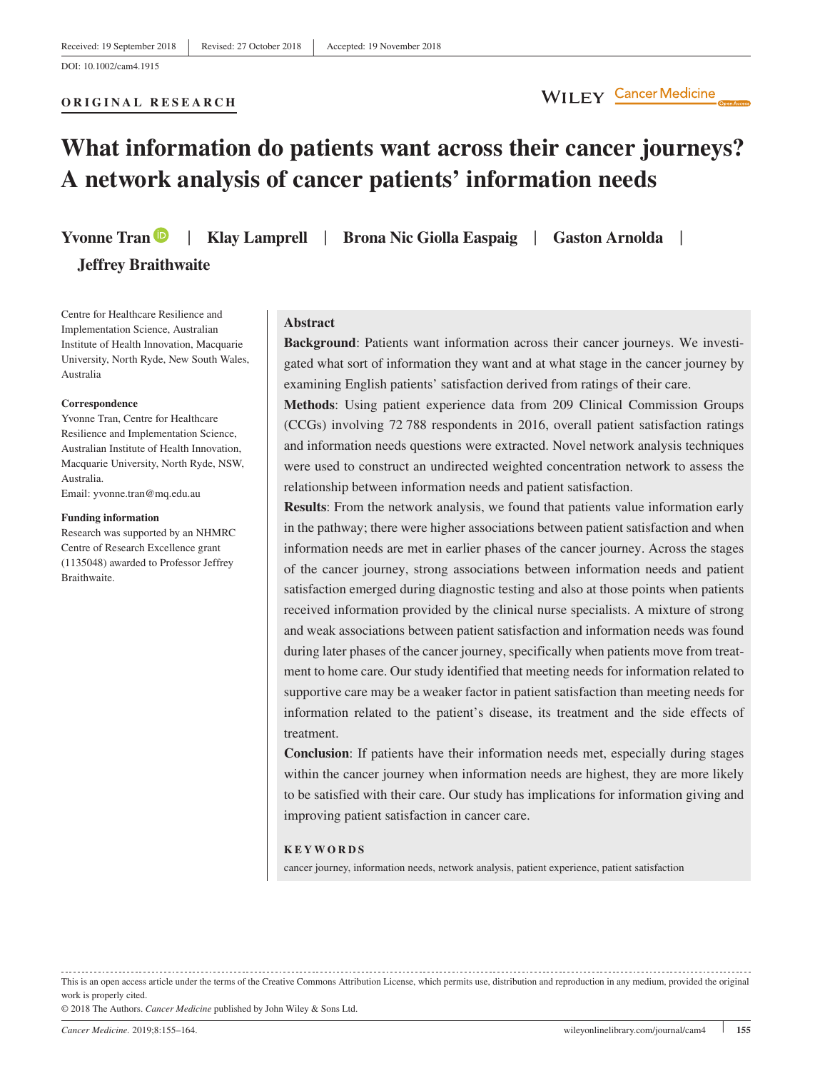#### **ORIGINAL RESEARCH**

# WILEY Cancer Medicine

# **What information do patients want across their cancer journeys? A network analysis of cancer patients' information needs**

**Yvonne Tra[n](https://orcid.org/0000-0002-1741-4205)** | **Klay Lamprell** | **Brona Nic Giolla Easpaig** | **Gaston Arnolda** |

**Jeffrey Braithwaite**

Centre for Healthcare Resilience and Implementation Science, Australian Institute of Health Innovation, Macquarie University, North Ryde, New South Wales, Australia

#### **Correspondence**

Yvonne Tran, Centre for Healthcare Resilience and Implementation Science, Australian Institute of Health Innovation, Macquarie University, North Ryde, NSW, Australia. Email: [yvonne.tran@mq.edu.au](mailto:yvonne.tran@mq.edu.au)

#### **Funding information**

Research was supported by an NHMRC Centre of Research Excellence grant (1135048) awarded to Professor Jeffrey Braithwaite.

#### **Abstract**

**Background**: Patients want information across their cancer journeys. We investigated what sort of information they want and at what stage in the cancer journey by examining English patients' satisfaction derived from ratings of their care.

**Methods**: Using patient experience data from 209 Clinical Commission Groups (CCGs) involving 72 788 respondents in 2016, overall patient satisfaction ratings and information needs questions were extracted. Novel network analysis techniques were used to construct an undirected weighted concentration network to assess the relationship between information needs and patient satisfaction.

**Results**: From the network analysis, we found that patients value information early in the pathway; there were higher associations between patient satisfaction and when information needs are met in earlier phases of the cancer journey. Across the stages of the cancer journey, strong associations between information needs and patient satisfaction emerged during diagnostic testing and also at those points when patients received information provided by the clinical nurse specialists. A mixture of strong and weak associations between patient satisfaction and information needs was found during later phases of the cancer journey, specifically when patients move from treatment to home care. Our study identified that meeting needs for information related to supportive care may be a weaker factor in patient satisfaction than meeting needs for information related to the patient's disease, its treatment and the side effects of treatment.

**Conclusion**: If patients have their information needs met, especially during stages within the cancer journey when information needs are highest, they are more likely to be satisfied with their care. Our study has implications for information giving and improving patient satisfaction in cancer care.

#### **KEYWORDS**

cancer journey, information needs, network analysis, patient experience, patient satisfaction

This is an open access article under the terms of the [Creative Commons Attribution](http://creativecommons.org/licenses/by/4.0/) License, which permits use, distribution and reproduction in any medium, provided the original work is properly cited.

© 2018 The Authors. *Cancer Medicine* published by John Wiley & Sons Ltd.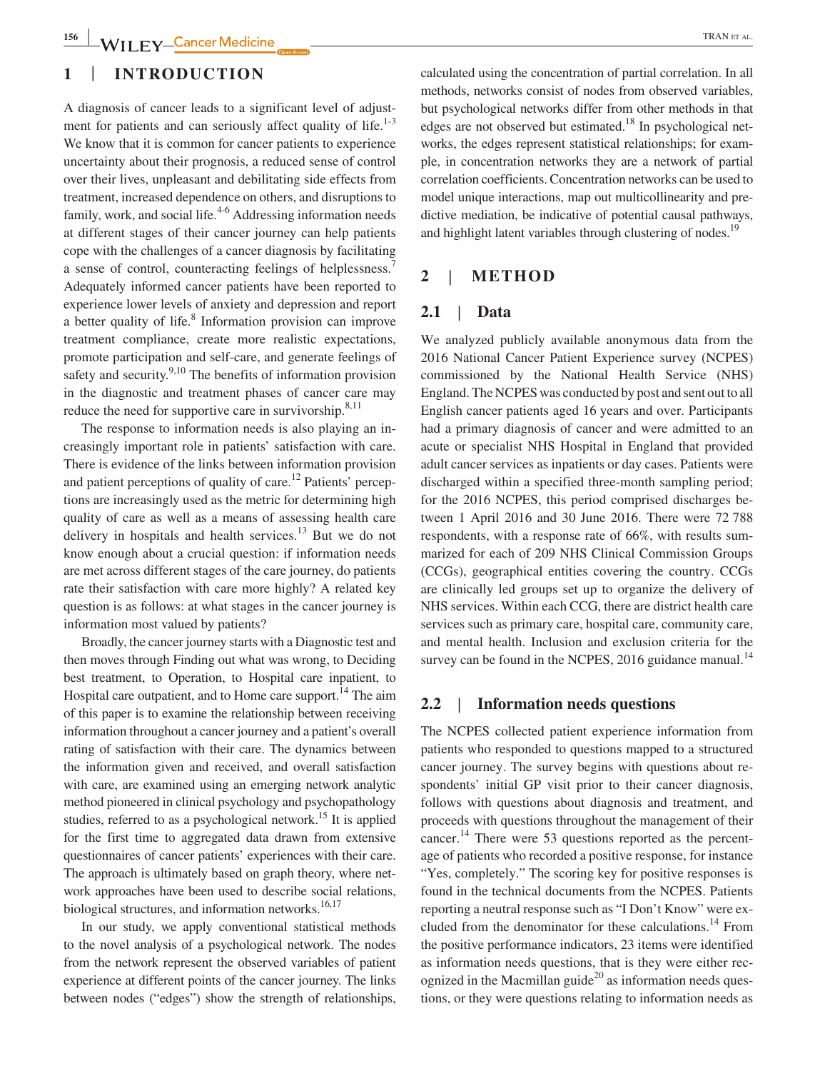# **1** | **INTRODUCTION**

A diagnosis of cancer leads to a significant level of adjustment for patients and can seriously affect quality of life. $1-3$ We know that it is common for cancer patients to experience uncertainty about their prognosis, a reduced sense of control over their lives, unpleasant and debilitating side effects from treatment, increased dependence on others, and disruptions to family, work, and social life. $4-6$  Addressing information needs at different stages of their cancer journey can help patients cope with the challenges of a cancer diagnosis by facilitating a sense of control, counteracting feelings of helplessness.<sup>7</sup> Adequately informed cancer patients have been reported to experience lower levels of anxiety and depression and report a better quality of life.<sup>8</sup> Information provision can improve treatment compliance, create more realistic expectations, promote participation and self‐care, and generate feelings of safety and security.<sup>9,10</sup> The benefits of information provision in the diagnostic and treatment phases of cancer care may reduce the need for supportive care in survivorship. $8,11$ 

The response to information needs is also playing an increasingly important role in patients' satisfaction with care. There is evidence of the links between information provision and patient perceptions of quality of care.<sup>12</sup> Patients' perceptions are increasingly used as the metric for determining high quality of care as well as a means of assessing health care delivery in hospitals and health services. $13$  But we do not know enough about a crucial question: if information needs are met across different stages of the care journey, do patients rate their satisfaction with care more highly? A related key question is as follows: at what stages in the cancer journey is information most valued by patients?

Broadly, the cancer journey starts with a Diagnostic test and then moves through Finding out what was wrong, to Deciding best treatment, to Operation, to Hospital care inpatient, to Hospital care outpatient, and to Home care support.<sup>14</sup> The aim of this paper is to examine the relationship between receiving information throughout a cancer journey and a patient's overall rating of satisfaction with their care. The dynamics between the information given and received, and overall satisfaction with care, are examined using an emerging network analytic method pioneered in clinical psychology and psychopathology studies, referred to as a psychological network.<sup>15</sup> It is applied for the first time to aggregated data drawn from extensive questionnaires of cancer patients' experiences with their care. The approach is ultimately based on graph theory, where network approaches have been used to describe social relations, biological structures, and information networks.<sup>16,17</sup>

In our study, we apply conventional statistical methods to the novel analysis of a psychological network. The nodes from the network represent the observed variables of patient experience at different points of the cancer journey. The links between nodes ("edges") show the strength of relationships, calculated using the concentration of partial correlation. In all methods, networks consist of nodes from observed variables, but psychological networks differ from other methods in that edges are not observed but estimated.<sup>18</sup> In psychological networks, the edges represent statistical relationships; for example, in concentration networks they are a network of partial correlation coefficients. Concentration networks can be used to model unique interactions, map out multicollinearity and predictive mediation, be indicative of potential causal pathways, and highlight latent variables through clustering of nodes.<sup>19</sup>

## **2** | **METHOD**

## **2.1** | **Data**

We analyzed publicly available anonymous data from the 2016 National Cancer Patient Experience survey (NCPES) commissioned by the National Health Service (NHS) England. The NCPES was conducted by post and sent out to all English cancer patients aged 16 years and over. Participants had a primary diagnosis of cancer and were admitted to an acute or specialist NHS Hospital in England that provided adult cancer services as inpatients or day cases. Patients were discharged within a specified three‐month sampling period; for the 2016 NCPES, this period comprised discharges between 1 April 2016 and 30 June 2016. There were 72 788 respondents, with a response rate of 66%, with results summarized for each of 209 NHS Clinical Commission Groups (CCGs), geographical entities covering the country. CCGs are clinically led groups set up to organize the delivery of NHS services. Within each CCG, there are district health care services such as primary care, hospital care, community care, and mental health. Inclusion and exclusion criteria for the survey can be found in the NCPES, 2016 guidance manual.<sup>14</sup>

### **2.2** | **Information needs questions**

The NCPES collected patient experience information from patients who responded to questions mapped to a structured cancer journey. The survey begins with questions about respondents' initial GP visit prior to their cancer diagnosis, follows with questions about diagnosis and treatment, and proceeds with questions throughout the management of their cancer.<sup>14</sup> There were 53 questions reported as the percentage of patients who recorded a positive response, for instance "Yes, completely." The scoring key for positive responses is found in the technical documents from the NCPES. Patients reporting a neutral response such as "I Don't Know" were excluded from the denominator for these calculations.<sup>14</sup> From the positive performance indicators, 23 items were identified as information needs questions, that is they were either recognized in the Macmillan guide<sup>20</sup> as information needs questions, or they were questions relating to information needs as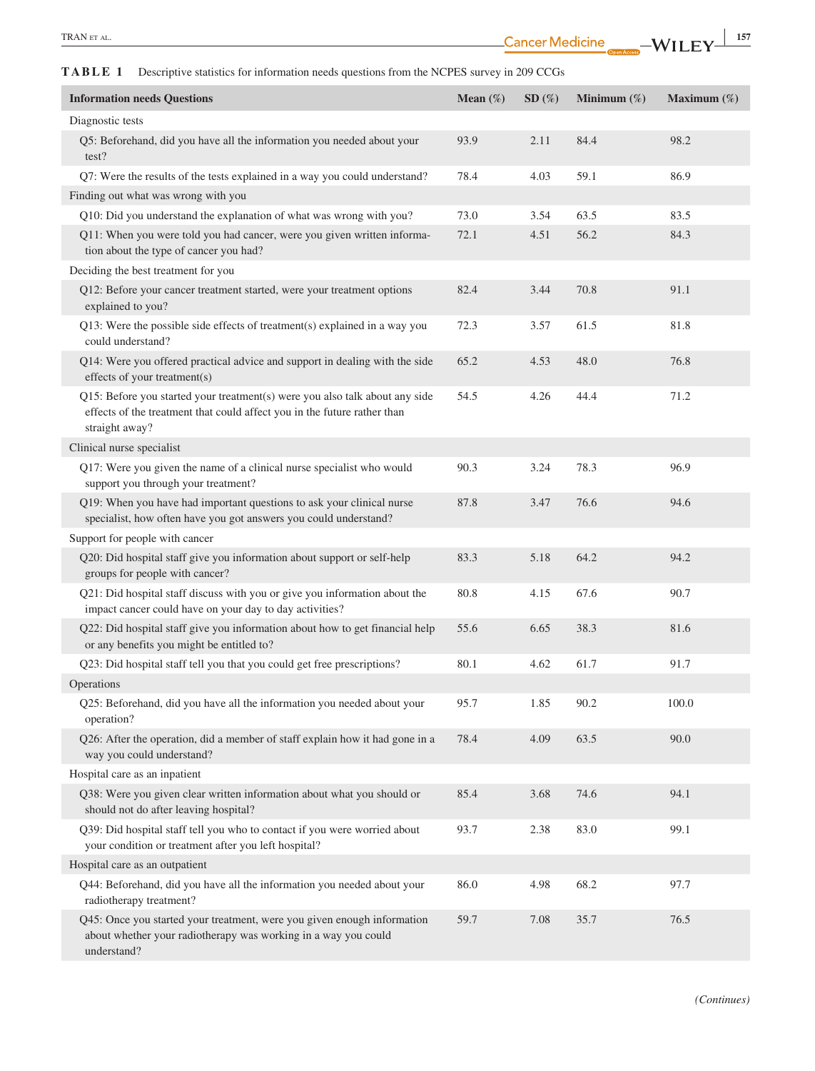**|** TRAN et al. **<sup>157</sup>**

## **TABLE 1** Descriptive statistics for information needs questions from the NCPES survey in 209 CCGs

| <b>Information needs Questions</b>                                                                                                                                        | Mean $(\%)$ | SD(%) | Minimum $(\%)$ | Maximum (%) |
|---------------------------------------------------------------------------------------------------------------------------------------------------------------------------|-------------|-------|----------------|-------------|
| Diagnostic tests                                                                                                                                                          |             |       |                |             |
| Q5: Beforehand, did you have all the information you needed about your<br>test?                                                                                           | 93.9        | 2.11  | 84.4           | 98.2        |
| Q7: Were the results of the tests explained in a way you could understand?                                                                                                | 78.4        | 4.03  | 59.1           | 86.9        |
| Finding out what was wrong with you                                                                                                                                       |             |       |                |             |
| Q10: Did you understand the explanation of what was wrong with you?                                                                                                       | 73.0        | 3.54  | 63.5           | 83.5        |
| Q11: When you were told you had cancer, were you given written informa-<br>tion about the type of cancer you had?                                                         | 72.1        | 4.51  | 56.2           | 84.3        |
| Deciding the best treatment for you                                                                                                                                       |             |       |                |             |
| Q12: Before your cancer treatment started, were your treatment options<br>explained to you?                                                                               | 82.4        | 3.44  | 70.8           | 91.1        |
| Q13: Were the possible side effects of treatment(s) explained in a way you<br>could understand?                                                                           | 72.3        | 3.57  | 61.5           | 81.8        |
| Q14: Were you offered practical advice and support in dealing with the side<br>effects of your treatment(s)                                                               | 65.2        | 4.53  | 48.0           | 76.8        |
| Q15: Before you started your treatment(s) were you also talk about any side<br>effects of the treatment that could affect you in the future rather than<br>straight away? | 54.5        | 4.26  | 44.4           | 71.2        |
| Clinical nurse specialist                                                                                                                                                 |             |       |                |             |
| Q17: Were you given the name of a clinical nurse specialist who would<br>support you through your treatment?                                                              | 90.3        | 3.24  | 78.3           | 96.9        |
| Q19: When you have had important questions to ask your clinical nurse<br>specialist, how often have you got answers you could understand?                                 | 87.8        | 3.47  | 76.6           | 94.6        |
| Support for people with cancer                                                                                                                                            |             |       |                |             |
| Q20: Did hospital staff give you information about support or self-help<br>groups for people with cancer?                                                                 | 83.3        | 5.18  | 64.2           | 94.2        |
| Q21: Did hospital staff discuss with you or give you information about the<br>impact cancer could have on your day to day activities?                                     | 80.8        | 4.15  | 67.6           | 90.7        |
| Q22: Did hospital staff give you information about how to get financial help<br>or any benefits you might be entitled to?                                                 | 55.6        | 6.65  | 38.3           | 81.6        |
| Q23: Did hospital staff tell you that you could get free prescriptions?                                                                                                   | 80.1        | 4.62  | 61.7           | 91.7        |
| Operations                                                                                                                                                                |             |       |                |             |
| Q25: Beforehand, did you have all the information you needed about your<br>operation?                                                                                     | 95.7        | 1.85  | 90.2           | 100.0       |
| Q26: After the operation, did a member of staff explain how it had gone in a<br>way you could understand?                                                                 | 78.4        | 4.09  | 63.5           | 90.0        |
| Hospital care as an inpatient                                                                                                                                             |             |       |                |             |
| Q38: Were you given clear written information about what you should or<br>should not do after leaving hospital?                                                           | 85.4        | 3.68  | 74.6           | 94.1        |
| Q39: Did hospital staff tell you who to contact if you were worried about<br>your condition or treatment after you left hospital?                                         | 93.7        | 2.38  | 83.0           | 99.1        |
| Hospital care as an outpatient                                                                                                                                            |             |       |                |             |
| Q44: Beforehand, did you have all the information you needed about your<br>radiotherapy treatment?                                                                        | 86.0        | 4.98  | 68.2           | 97.7        |
| Q45: Once you started your treatment, were you given enough information<br>about whether your radiotherapy was working in a way you could<br>understand?                  | 59.7        | 7.08  | 35.7           | 76.5        |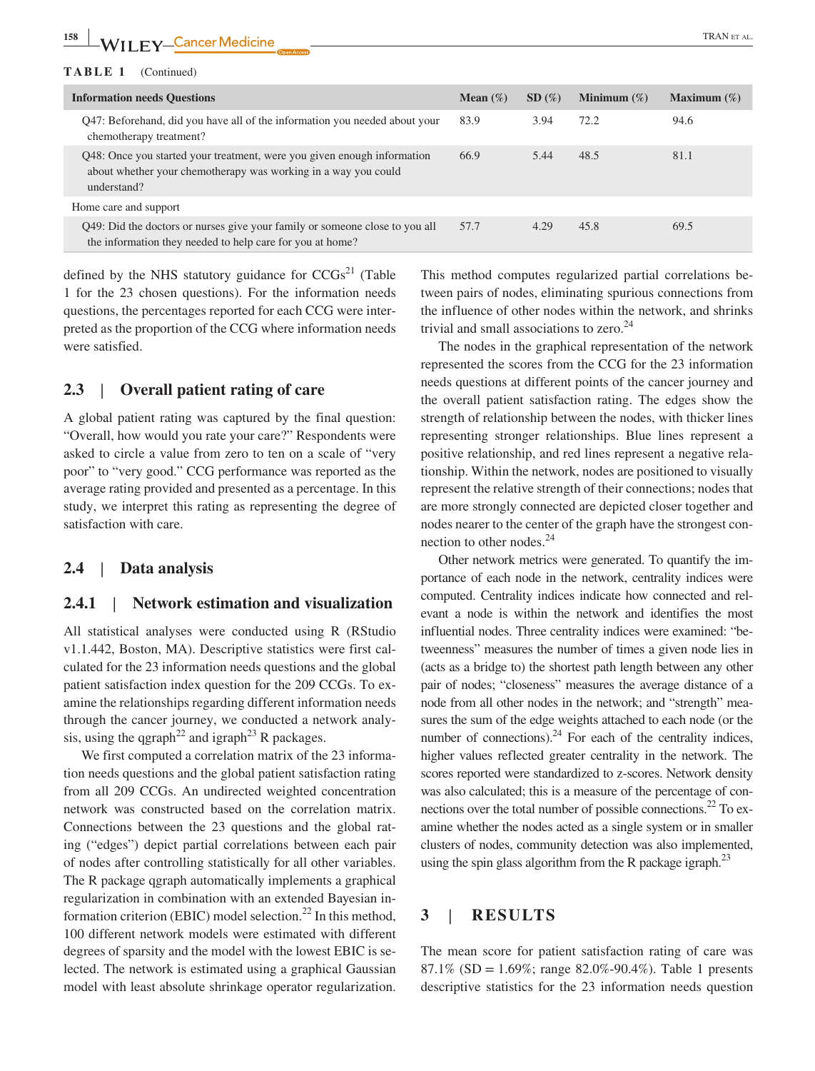#### **TABLE 1** (Continued)

| <b>Information needs Questions</b>                                                                                                                       | Mean $(\%)$ | SD(%) | Minimum $(\%)$ | Maximum $(\%)$ |
|----------------------------------------------------------------------------------------------------------------------------------------------------------|-------------|-------|----------------|----------------|
| Q47: Beforehand, did you have all of the information you needed about your<br>chemotherapy treatment?                                                    | 83.9        | 3.94  | 72.2           | 94.6           |
| Q48: Once you started your treatment, were you given enough information<br>about whether your chemotherapy was working in a way you could<br>understand? | 66.9        | 5.44  | 48.5           | 81.1           |
| Home care and support                                                                                                                                    |             |       |                |                |
| Q49: Did the doctors or nurses give your family or someone close to you all<br>the information they needed to help care for you at home?                 | 57.7        | 4.29  | 45.8           | 69.5           |

defined by the NHS statutory guidance for  $CCGs^{21}$  (Table 1 for the 23 chosen questions). For the information needs questions, the percentages reported for each CCG were interpreted as the proportion of the CCG where information needs were satisfied.

### **2.3** | **Overall patient rating of care**

A global patient rating was captured by the final question: "Overall, how would you rate your care?" Respondents were asked to circle a value from zero to ten on a scale of "very poor" to "very good." CCG performance was reported as the average rating provided and presented as a percentage. In this study, we interpret this rating as representing the degree of satisfaction with care.

#### **2.4** | **Data analysis**

#### **2.4.1** | **Network estimation and visualization**

All statistical analyses were conducted using R (RStudio v1.1.442, Boston, MA). Descriptive statistics were first calculated for the 23 information needs questions and the global patient satisfaction index question for the 209 CCGs. To examine the relationships regarding different information needs through the cancer journey, we conducted a network analysis, using the qgraph<sup>22</sup> and igraph<sup>23</sup> R packages.

We first computed a correlation matrix of the 23 information needs questions and the global patient satisfaction rating from all 209 CCGs. An undirected weighted concentration network was constructed based on the correlation matrix. Connections between the 23 questions and the global rating ("edges") depict partial correlations between each pair of nodes after controlling statistically for all other variables. The R package qgraph automatically implements a graphical regularization in combination with an extended Bayesian information criterion (EBIC) model selection.<sup>22</sup> In this method, 100 different network models were estimated with different degrees of sparsity and the model with the lowest EBIC is selected. The network is estimated using a graphical Gaussian model with least absolute shrinkage operator regularization. This method computes regularized partial correlations between pairs of nodes, eliminating spurious connections from the influence of other nodes within the network, and shrinks trivial and small associations to zero. $24$ 

The nodes in the graphical representation of the network represented the scores from the CCG for the 23 information needs questions at different points of the cancer journey and the overall patient satisfaction rating. The edges show the strength of relationship between the nodes, with thicker lines representing stronger relationships. Blue lines represent a positive relationship, and red lines represent a negative relationship. Within the network, nodes are positioned to visually represent the relative strength of their connections; nodes that are more strongly connected are depicted closer together and nodes nearer to the center of the graph have the strongest connection to other nodes.<sup>24</sup>

Other network metrics were generated. To quantify the importance of each node in the network, centrality indices were computed. Centrality indices indicate how connected and relevant a node is within the network and identifies the most influential nodes. Three centrality indices were examined: "betweenness" measures the number of times a given node lies in (acts as a bridge to) the shortest path length between any other pair of nodes; "closeness" measures the average distance of a node from all other nodes in the network; and "strength" measures the sum of the edge weights attached to each node (or the number of connections). $^{24}$  For each of the centrality indices, higher values reflected greater centrality in the network. The scores reported were standardized to z‐scores. Network density was also calculated; this is a measure of the percentage of connections over the total number of possible connections.<sup>22</sup> To examine whether the nodes acted as a single system or in smaller clusters of nodes, community detection was also implemented, using the spin glass algorithm from the R package igraph. $^{23}$ 

## **3** | **RESULTS**

The mean score for patient satisfaction rating of care was 87.1% (SD = 1.69%; range 82.0%‐90.4%). Table 1 presents descriptive statistics for the 23 information needs question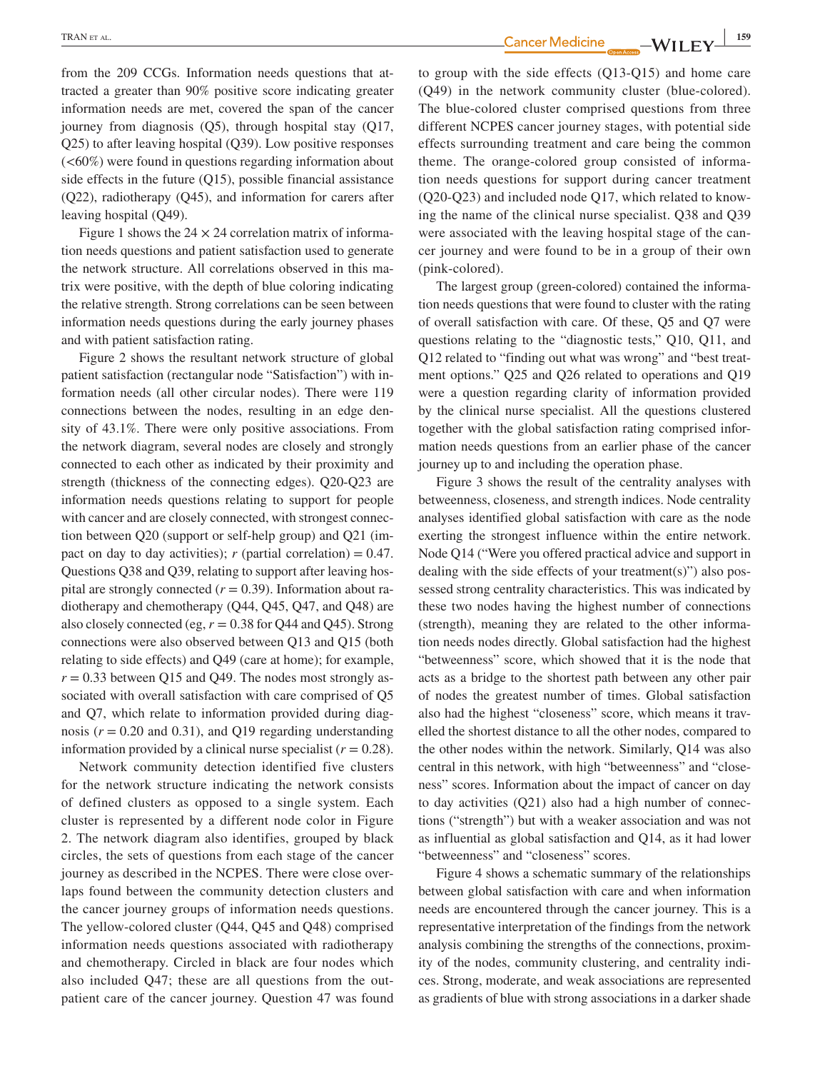**TRAN ET AL. 159** 

from the 209 CCGs. Information needs questions that attracted a greater than 90% positive score indicating greater information needs are met, covered the span of the cancer journey from diagnosis (Q5), through hospital stay (Q17, Q25) to after leaving hospital (Q39). Low positive responses (<60%) were found in questions regarding information about side effects in the future (Q15), possible financial assistance (Q22), radiotherapy (Q45), and information for carers after leaving hospital (Q49).

Figure 1 shows the  $24 \times 24$  correlation matrix of information needs questions and patient satisfaction used to generate the network structure. All correlations observed in this matrix were positive, with the depth of blue coloring indicating the relative strength. Strong correlations can be seen between information needs questions during the early journey phases and with patient satisfaction rating.

Figure 2 shows the resultant network structure of global patient satisfaction (rectangular node "Satisfaction") with information needs (all other circular nodes). There were 119 connections between the nodes, resulting in an edge density of 43.1%. There were only positive associations. From the network diagram, several nodes are closely and strongly connected to each other as indicated by their proximity and strength (thickness of the connecting edges). Q20‐Q23 are information needs questions relating to support for people with cancer and are closely connected, with strongest connection between Q20 (support or self‐help group) and Q21 (impact on day to day activities);  $r$  (partial correlation) = 0.47. Questions Q38 and Q39, relating to support after leaving hospital are strongly connected  $(r = 0.39)$ . Information about radiotherapy and chemotherapy (Q44, Q45, Q47, and Q48) are also closely connected (eg,  $r = 0.38$  for Q44 and Q45). Strong connections were also observed between Q13 and Q15 (both relating to side effects) and Q49 (care at home); for example,  $r = 0.33$  between Q15 and Q49. The nodes most strongly associated with overall satisfaction with care comprised of Q5 and Q7, which relate to information provided during diagnosis  $(r = 0.20$  and  $(0.31)$ , and Q19 regarding understanding information provided by a clinical nurse specialist  $(r = 0.28)$ .

Network community detection identified five clusters for the network structure indicating the network consists of defined clusters as opposed to a single system. Each cluster is represented by a different node color in Figure 2. The network diagram also identifies, grouped by black circles, the sets of questions from each stage of the cancer journey as described in the NCPES. There were close overlaps found between the community detection clusters and the cancer journey groups of information needs questions. The yellow-colored cluster (Q44, Q45 and Q48) comprised information needs questions associated with radiotherapy and chemotherapy. Circled in black are four nodes which also included Q47; these are all questions from the outpatient care of the cancer journey. Question 47 was found to group with the side effects (Q13‐Q15) and home care (Q49) in the network community cluster (blue‐colored). The blue-colored cluster comprised questions from three different NCPES cancer journey stages, with potential side effects surrounding treatment and care being the common theme. The orange‐colored group consisted of information needs questions for support during cancer treatment (Q20‐Q23) and included node Q17, which related to knowing the name of the clinical nurse specialist. Q38 and Q39 were associated with the leaving hospital stage of the cancer journey and were found to be in a group of their own (pink‐colored).

The largest group (green-colored) contained the information needs questions that were found to cluster with the rating of overall satisfaction with care. Of these, Q5 and Q7 were questions relating to the "diagnostic tests," Q10, Q11, and Q12 related to "finding out what was wrong" and "best treatment options." Q25 and Q26 related to operations and Q19 were a question regarding clarity of information provided by the clinical nurse specialist. All the questions clustered together with the global satisfaction rating comprised information needs questions from an earlier phase of the cancer journey up to and including the operation phase.

Figure 3 shows the result of the centrality analyses with betweenness, closeness, and strength indices. Node centrality analyses identified global satisfaction with care as the node exerting the strongest influence within the entire network. Node Q14 ("Were you offered practical advice and support in dealing with the side effects of your treatment(s)") also possessed strong centrality characteristics. This was indicated by these two nodes having the highest number of connections (strength), meaning they are related to the other information needs nodes directly. Global satisfaction had the highest "betweenness" score, which showed that it is the node that acts as a bridge to the shortest path between any other pair of nodes the greatest number of times. Global satisfaction also had the highest "closeness" score, which means it travelled the shortest distance to all the other nodes, compared to the other nodes within the network. Similarly, Q14 was also central in this network, with high "betweenness" and "closeness" scores. Information about the impact of cancer on day to day activities (Q21) also had a high number of connections ("strength") but with a weaker association and was not as influential as global satisfaction and Q14, as it had lower "betweenness" and "closeness" scores.

Figure 4 shows a schematic summary of the relationships between global satisfaction with care and when information needs are encountered through the cancer journey. This is a representative interpretation of the findings from the network analysis combining the strengths of the connections, proximity of the nodes, community clustering, and centrality indices. Strong, moderate, and weak associations are represented as gradients of blue with strong associations in a darker shade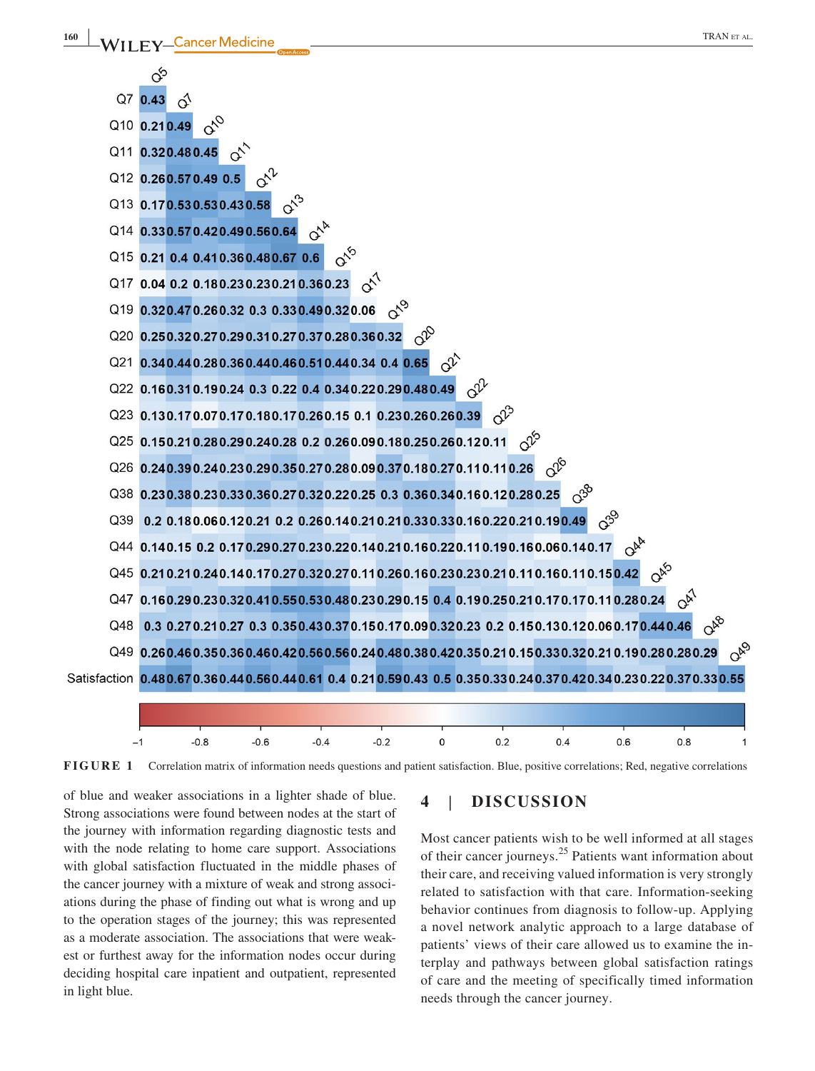

**FIGURE 1** Correlation matrix of information needs questions and patient satisfaction. Blue, positive correlations; Red, negative correlations

of blue and weaker associations in a lighter shade of blue. Strong associations were found between nodes at the start of the journey with information regarding diagnostic tests and with the node relating to home care support. Associations with global satisfaction fluctuated in the middle phases of the cancer journey with a mixture of weak and strong associations during the phase of finding out what is wrong and up to the operation stages of the journey; this was represented as a moderate association. The associations that were weakest or furthest away for the information nodes occur during deciding hospital care inpatient and outpatient, represented in light blue.

#### **4** | **DISCUSSION**

Most cancer patients wish to be well informed at all stages of their cancer journeys.25 Patients want information about their care, and receiving valued information is very strongly related to satisfaction with that care. Information‐seeking behavior continues from diagnosis to follow‐up. Applying a novel network analytic approach to a large database of patients' views of their care allowed us to examine the interplay and pathways between global satisfaction ratings of care and the meeting of specifically timed information needs through the cancer journey.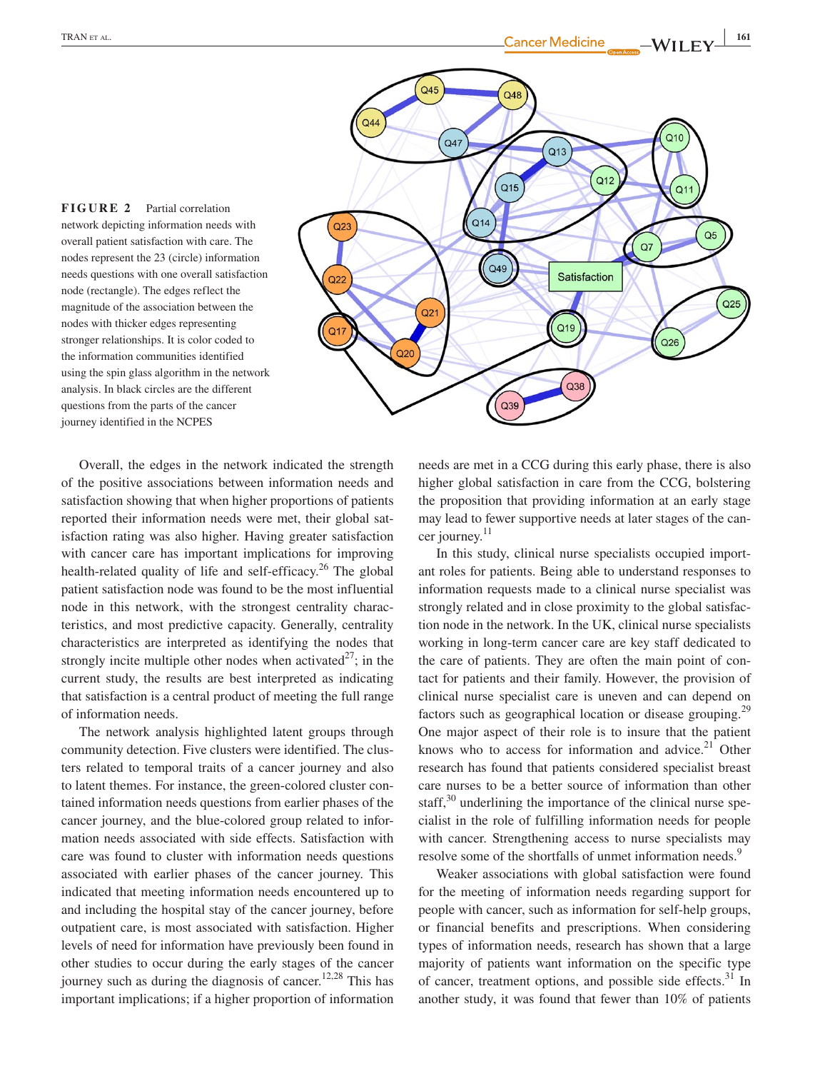

**FIGURE 2** Partial correlation network depicting information needs with overall patient satisfaction with care. The nodes represent the 23 (circle) information needs questions with one overall satisfaction node (rectangle). The edges reflect the magnitude of the association between the nodes with thicker edges representing stronger relationships. It is color coded to the information communities identified using the spin glass algorithm in the network analysis. In black circles are the different questions from the parts of the cancer journey identified in the NCPES

Overall, the edges in the network indicated the strength of the positive associations between information needs and satisfaction showing that when higher proportions of patients reported their information needs were met, their global satisfaction rating was also higher. Having greater satisfaction with cancer care has important implications for improving health-related quality of life and self-efficacy.<sup>26</sup> The global patient satisfaction node was found to be the most influential node in this network, with the strongest centrality characteristics, and most predictive capacity. Generally, centrality characteristics are interpreted as identifying the nodes that strongly incite multiple other nodes when activated<sup>27</sup>; in the current study, the results are best interpreted as indicating that satisfaction is a central product of meeting the full range of information needs.

The network analysis highlighted latent groups through community detection. Five clusters were identified. The clusters related to temporal traits of a cancer journey and also to latent themes. For instance, the green‐colored cluster contained information needs questions from earlier phases of the cancer journey, and the blue‐colored group related to information needs associated with side effects. Satisfaction with care was found to cluster with information needs questions associated with earlier phases of the cancer journey. This indicated that meeting information needs encountered up to and including the hospital stay of the cancer journey, before outpatient care, is most associated with satisfaction. Higher levels of need for information have previously been found in other studies to occur during the early stages of the cancer journey such as during the diagnosis of cancer.<sup>12,28</sup> This has important implications; if a higher proportion of information

needs are met in a CCG during this early phase, there is also higher global satisfaction in care from the CCG, bolstering the proposition that providing information at an early stage may lead to fewer supportive needs at later stages of the cancer journey. $11$ 

In this study, clinical nurse specialists occupied important roles for patients. Being able to understand responses to information requests made to a clinical nurse specialist was strongly related and in close proximity to the global satisfaction node in the network. In the UK, clinical nurse specialists working in long‐term cancer care are key staff dedicated to the care of patients. They are often the main point of contact for patients and their family. However, the provision of clinical nurse specialist care is uneven and can depend on factors such as geographical location or disease grouping.<sup>29</sup> One major aspect of their role is to insure that the patient knows who to access for information and advice. $21$  Other research has found that patients considered specialist breast care nurses to be a better source of information than other staff, $30$  underlining the importance of the clinical nurse specialist in the role of fulfilling information needs for people with cancer. Strengthening access to nurse specialists may resolve some of the shortfalls of unmet information needs.<sup>9</sup>

Weaker associations with global satisfaction were found for the meeting of information needs regarding support for people with cancer, such as information for self‐help groups, or financial benefits and prescriptions. When considering types of information needs, research has shown that a large majority of patients want information on the specific type of cancer, treatment options, and possible side effects.<sup>31</sup> In another study, it was found that fewer than 10% of patients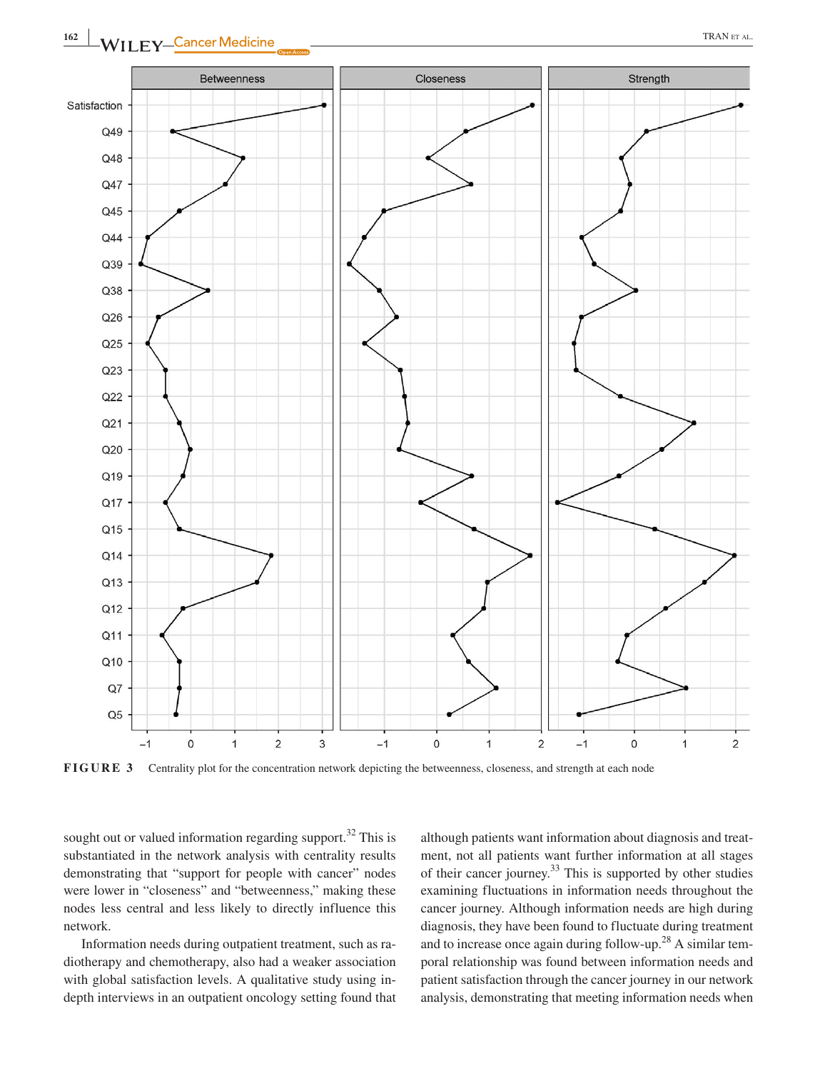**162 WII FY** Cancer Medicine **CONSIDERING CONSTRANT CONSIDERING** 



**FIGURE 3** Centrality plot for the concentration network depicting the betweenness, closeness, and strength at each node

sought out or valued information regarding support. $32$  This is substantiated in the network analysis with centrality results demonstrating that "support for people with cancer" nodes were lower in "closeness" and "betweenness," making these nodes less central and less likely to directly influence this network.

Information needs during outpatient treatment, such as radiotherapy and chemotherapy, also had a weaker association with global satisfaction levels. A qualitative study using indepth interviews in an outpatient oncology setting found that

although patients want information about diagnosis and treatment, not all patients want further information at all stages of their cancer journey.<sup>33</sup> This is supported by other studies examining fluctuations in information needs throughout the cancer journey. Although information needs are high during diagnosis, they have been found to fluctuate during treatment and to increase once again during follow-up.<sup>28</sup> A similar temporal relationship was found between information needs and patient satisfaction through the cancer journey in our network analysis, demonstrating that meeting information needs when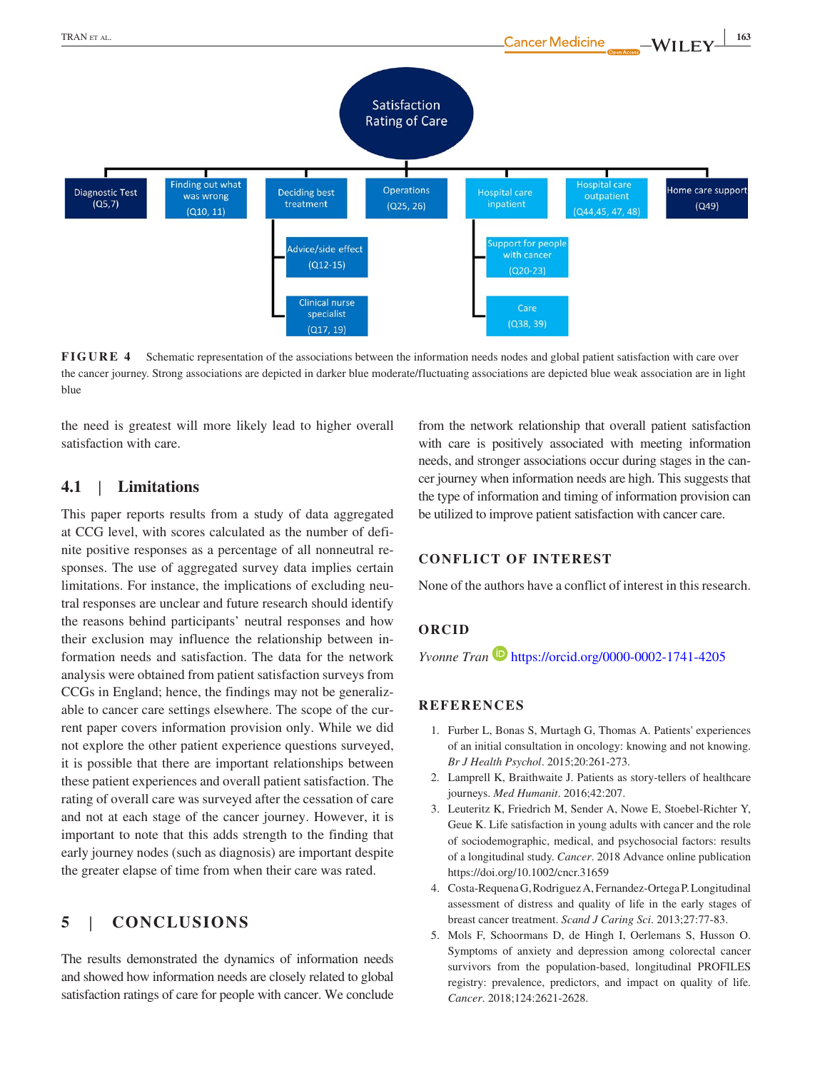

**FIGURE 4** Schematic representation of the associations between the information needs nodes and global patient satisfaction with care over the cancer journey. Strong associations are depicted in darker blue moderate/fluctuating associations are depicted blue weak association are in light blue

the need is greatest will more likely lead to higher overall satisfaction with care.

## **4.1** | **Limitations**

This paper reports results from a study of data aggregated at CCG level, with scores calculated as the number of definite positive responses as a percentage of all nonneutral responses. The use of aggregated survey data implies certain limitations. For instance, the implications of excluding neutral responses are unclear and future research should identify the reasons behind participants' neutral responses and how their exclusion may influence the relationship between information needs and satisfaction. The data for the network analysis were obtained from patient satisfaction surveys from CCGs in England; hence, the findings may not be generalizable to cancer care settings elsewhere. The scope of the current paper covers information provision only. While we did not explore the other patient experience questions surveyed, it is possible that there are important relationships between these patient experiences and overall patient satisfaction. The rating of overall care was surveyed after the cessation of care and not at each stage of the cancer journey. However, it is important to note that this adds strength to the finding that early journey nodes (such as diagnosis) are important despite the greater elapse of time from when their care was rated.

## **5** | **CONCLUSIONS**

The results demonstrated the dynamics of information needs and showed how information needs are closely related to global satisfaction ratings of care for people with cancer. We conclude from the network relationship that overall patient satisfaction with care is positively associated with meeting information needs, and stronger associations occur during stages in the cancer journey when information needs are high. This suggests that the type of information and timing of information provision can be utilized to improve patient satisfaction with cancer care.

#### **CONFLICT OF INTEREST**

None of the authors have a conflict of interest in this research.

### **ORCID**

*Yvonne Tran* **<https://orcid.org/0000-0002-1741-4205>** 

## **REFERENCES**

- 1. Furber L, Bonas S, Murtagh G, Thomas A. Patients' experiences of an initial consultation in oncology: knowing and not knowing. *Br J Health Psychol*. 2015;20:261‐273.
- 2. Lamprell K, Braithwaite J. Patients as story‐tellers of healthcare journeys. *Med Humanit*. 2016;42:207.
- 3. Leuteritz K, Friedrich M, Sender A, Nowe E, Stoebel‐Richter Y, Geue K. Life satisfaction in young adults with cancer and the role of sociodemographic, medical, and psychosocial factors: results of a longitudinal study. *Cancer*. 2018 Advance online publication <https://doi.org/10.1002/cncr.31659>
- 4. Costa‐Requena G, Rodriguez A, Fernandez‐Ortega P. Longitudinal assessment of distress and quality of life in the early stages of breast cancer treatment. *Scand J Caring Sci*. 2013;27:77‐83.
- 5. Mols F, Schoormans D, de Hingh I, Oerlemans S, Husson O. Symptoms of anxiety and depression among colorectal cancer survivors from the population-based, longitudinal PROFILES registry: prevalence, predictors, and impact on quality of life. *Cancer*. 2018;124:2621‐2628.